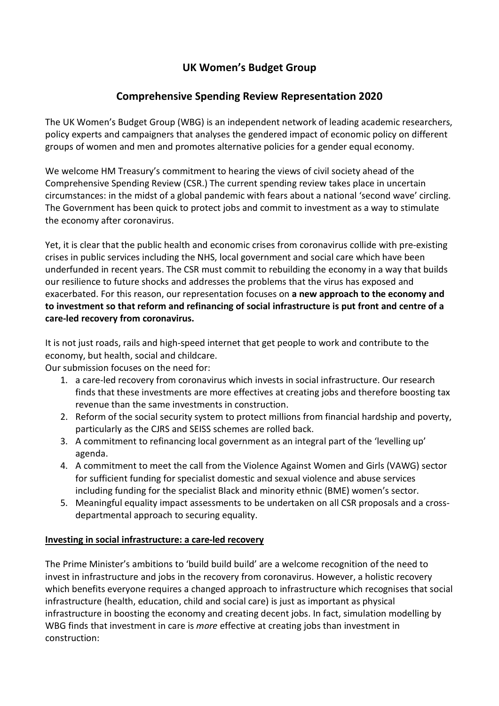# **UK Women's Budget Group**

## **Comprehensive Spending Review Representation 2020**

The UK Women's Budget Group (WBG) is an independent network of leading academic researchers, policy experts and campaigners that analyses the gendered impact of economic policy on different groups of women and men and promotes alternative policies for a gender equal economy.

We welcome HM Treasury's commitment to hearing the views of civil society ahead of the Comprehensive Spending Review (CSR.) The current spending review takes place in uncertain circumstances: in the midst of a global pandemic with fears about a national 'second wave' circling. The Government has been quick to protect jobs and commit to investment as a way to stimulate the economy after coronavirus.

Yet, it is clear that the public health and economic crises from coronavirus collide with pre-existing crises in public services including the NHS, local government and social care which have been underfunded in recent years. The CSR must commit to rebuilding the economy in a way that builds our resilience to future shocks and addresses the problems that the virus has exposed and exacerbated. For this reason, our representation focuses on **a new approach to the economy and to investment so that reform and refinancing of social infrastructure is put front and centre of a care-led recovery from coronavirus.**

It is not just roads, rails and high-speed internet that get people to work and contribute to the economy, but health, social and childcare.

Our submission focuses on the need for:

- 1. a care-led recovery from coronavirus which invests in social infrastructure. Our research finds that these investments are more effectives at creating jobs and therefore boosting tax revenue than the same investments in construction.
- 2. Reform of the social security system to protect millions from financial hardship and poverty, particularly as the CJRS and SEISS schemes are rolled back.
- 3. A commitment to refinancing local government as an integral part of the 'levelling up' agenda.
- 4. A commitment to meet the call from the Violence Against Women and Girls (VAWG) sector for sufficient funding for specialist domestic and sexual violence and abuse services including funding for the specialist Black and minority ethnic (BME) women's sector.
- 5. Meaningful equality impact assessments to be undertaken on all CSR proposals and a crossdepartmental approach to securing equality.

### **Investing in social infrastructure: a care-led recovery**

The Prime Minister's ambitions to 'build build build' are a welcome recognition of the need to invest in infrastructure and jobs in the recovery from coronavirus. However, a holistic recovery which benefits everyone requires a changed approach to infrastructure which recognises that social infrastructure (health, education, child and social care) is just as important as physical infrastructure in boosting the economy and creating decent jobs. In fact, simulation modelling by WBG finds that investment in care is *more* effective at creating jobs than investment in construction: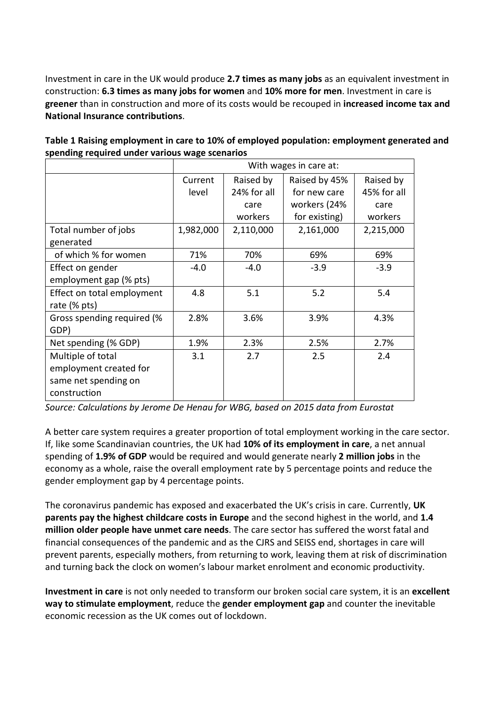Investment in care in the UK would produce **2.7 times as many jobs** as an equivalent investment in construction: **6.3 times as many jobs for women** and **10% more for men**. Investment in care is **greener** than in construction and more of its costs would be recouped in **increased income tax and National Insurance contributions**.

| Table 1 Raising employment in care to 10% of employed population: employment generated and |  |
|--------------------------------------------------------------------------------------------|--|
| spending required under various wage scenarios                                             |  |

|                            | With wages in care at: |             |               |             |
|----------------------------|------------------------|-------------|---------------|-------------|
|                            | Current                | Raised by   | Raised by 45% | Raised by   |
|                            | level                  | 24% for all | for new care  | 45% for all |
|                            |                        | care        | workers (24%  | care        |
|                            |                        | workers     | for existing) | workers     |
| Total number of jobs       | 1,982,000              | 2,110,000   | 2,161,000     | 2,215,000   |
| generated                  |                        |             |               |             |
| of which % for women       | 71%                    | 70%         | 69%           | 69%         |
| Effect on gender           | $-4.0$                 | $-4.0$      | $-3.9$        | $-3.9$      |
| employment gap (% pts)     |                        |             |               |             |
| Effect on total employment | 4.8                    | 5.1         | 5.2           | 5.4         |
| rate (% pts)               |                        |             |               |             |
| Gross spending required (% | 2.8%                   | 3.6%        | 3.9%          | 4.3%        |
| GDP)                       |                        |             |               |             |
| Net spending (% GDP)       | 1.9%                   | 2.3%        | 2.5%          | 2.7%        |
| Multiple of total          | 3.1                    | 2.7         | 2.5           | 2.4         |
| employment created for     |                        |             |               |             |
| same net spending on       |                        |             |               |             |
| construction               |                        |             |               |             |

*Source: Calculations by Jerome De Henau for WBG, based on 2015 data from Eurostat*

A better care system requires a greater proportion of total employment working in the care sector. If, like some Scandinavian countries, the UK had **10% of its employment in care**, a net annual spending of **1.9% of GDP** would be required and would generate nearly **2 million jobs** in the economy as a whole, raise the overall employment rate by 5 percentage points and reduce the gender employment gap by 4 percentage points.

The coronavirus pandemic has exposed and exacerbated the UK's crisis in care. Currently, **UK parents pay the highest childcare costs in Europe** and the second highest in the world, and **1.4 million older people have unmet care needs**. The care sector has suffered the worst fatal and financial consequences of the pandemic and as the CJRS and SEISS end, shortages in care will prevent parents, especially mothers, from returning to work, leaving them at risk of discrimination and turning back the clock on women's labour market enrolment and economic productivity.

**Investment in care** is not only needed to transform our broken social care system, it is an **excellent way to stimulate employment**, reduce the **gender employment gap** and counter the inevitable economic recession as the UK comes out of lockdown.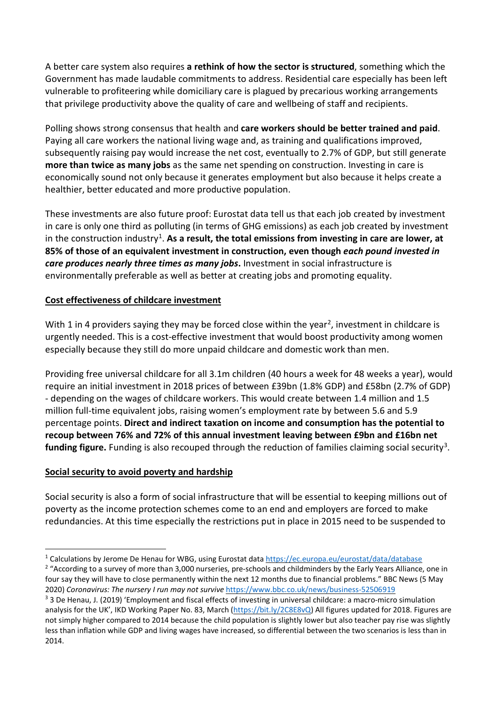A better care system also requires **a rethink of how the sector is structured**, something which the Government has made laudable commitments to address. Residential care especially has been left vulnerable to profiteering while domiciliary care is plagued by precarious working arrangements that privilege productivity above the quality of care and wellbeing of staff and recipients.

Polling shows strong consensus that health and **care workers should be better trained and paid**. Paying all care workers the national living wage and, as training and qualifications improved, subsequently raising pay would increase the net cost, eventually to 2.7% of GDP, but still generate **more than twice as many jobs** as the same net spending on construction. Investing in care is economically sound not only because it generates employment but also because it helps create a healthier, better educated and more productive population.

These investments are also future proof: Eurostat data tell us that each job created by investment in care is only one third as polluting (in terms of GHG emissions) as each job created by investment in the construction industry<sup>[1](#page-2-0)</sup>. As a result, the total emissions from investing in care are lower, at **85% of those of an equivalent investment in construction, even though** *each pound invested in care produces nearly three times as many jobs***.** Investment in social infrastructure is environmentally preferable as well as better at creating jobs and promoting equality.

### **Cost effectiveness of childcare investment**

With 1 in 4 providers saying they may be forced close within the year<sup>[2](#page-2-1)</sup>, investment in childcare is urgently needed. This is a cost-effective investment that would boost productivity among women especially because they still do more unpaid childcare and domestic work than men.

Providing free universal childcare for all 3.1m children (40 hours a week for 48 weeks a year), would require an initial investment in 2018 prices of between £39bn (1.8% GDP) and £58bn (2.7% of GDP) - depending on the wages of childcare workers. This would create between 1.4 million and 1.5 million full-time equivalent jobs, raising women's employment rate by between 5.6 and 5.9 percentage points. **Direct and indirect taxation on income and consumption has the potential to recoup between 76% and 72% of this annual investment leaving between £9bn and £16bn net**  funding figure. Funding is also recouped through the reduction of families claiming social security<sup>3</sup>.

### **Social security to avoid poverty and hardship**

Social security is also a form of social infrastructure that will be essential to keeping millions out of poverty as the income protection schemes come to an end and employers are forced to make redundancies. At this time especially the restrictions put in place in 2015 need to be suspended to

<span id="page-2-0"></span><sup>&</sup>lt;sup>1</sup> Calculations by Jerome De Henau for WBG, using Eurostat data<https://ec.europa.eu/eurostat/data/database>

<span id="page-2-1"></span><sup>&</sup>lt;sup>2</sup> "According to a survey of more than 3,000 nurseries, pre-schools and childminders by the Early Years Alliance, one in four say they will have to close permanently within the next 12 months due to financial problems." BBC News (5 May 2020) *Coronavirus: The nursery I run may not survive* <https://www.bbc.co.uk/news/business-52506919>

<span id="page-2-2"></span><sup>&</sup>lt;sup>3</sup> 3 De Henau, J. (2019) 'Employment and fiscal effects of investing in universal childcare: a macro-micro simulation analysis for the UK', IKD Working Paper No. 83, March [\(https://bit.ly/2C8E8vQ\)](https://bit.ly/2C8E8vQ) All figures updated for 2018. Figures are not simply higher compared to 2014 because the child population is slightly lower but also teacher pay rise was slightly less than inflation while GDP and living wages have increased, so differential between the two scenarios is less than in 2014.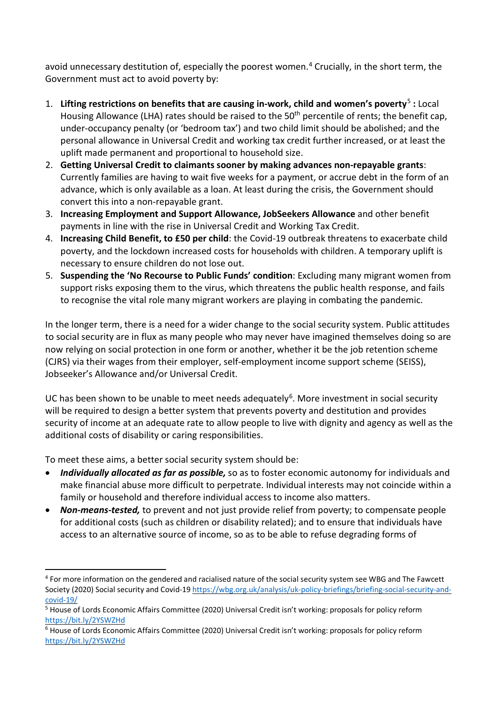avoid unnecessary destitution of, especially the poorest women. [4](#page-3-0) Crucially, in the short term, the Government must act to avoid poverty by:

- 1. **Lifting restrictions on benefits that are causing in-work, child and women's poverty**[5](#page-3-1) **:** Local Housing Allowance (LHA) rates should be raised to the 50<sup>th</sup> percentile of rents; the benefit cap, under-occupancy penalty (or 'bedroom tax') and two child limit should be abolished; and the personal allowance in Universal Credit and working tax credit further increased, or at least the uplift made permanent and proportional to household size.
- 2. **Getting Universal Credit to claimants sooner by making advances non-repayable grants**: Currently families are having to wait five weeks for a payment, or accrue debt in the form of an advance, which is only available as a loan. At least during the crisis, the Government should convert this into a non-repayable grant.
- 3. **Increasing Employment and Support Allowance, JobSeekers Allowance** and other benefit payments in line with the rise in Universal Credit and Working Tax Credit.
- 4. **Increasing Child Benefit, to £50 per child**: the Covid-19 outbreak threatens to exacerbate child poverty, and the lockdown increased costs for households with children. A temporary uplift is necessary to ensure children do not lose out.
- 5. **Suspending the 'No Recourse to Public Funds' condition**: Excluding many migrant women from support risks exposing them to the virus, which threatens the public health response, and fails to recognise the vital role many migrant workers are playing in combating the pandemic.

In the longer term, there is a need for a wider change to the social security system. Public attitudes to social security are in flux as many people who may never have imagined themselves doing so are now relying on social protection in one form or another, whether it be the job retention scheme (CJRS) via their wages from their employer, self-employment income support scheme (SEISS), Jobseeker's Allowance and/or Universal Credit.

UC has been shown to be unable to meet needs adequately<sup>[6](#page-3-2)</sup>. More investment in social security will be required to design a better system that prevents poverty and destitution and provides security of income at an adequate rate to allow people to live with dignity and agency as well as the additional costs of disability or caring responsibilities.

To meet these aims, a better social security system should be:

- *Individually allocated as far as possible,* so as to foster economic autonomy for individuals and make financial abuse more difficult to perpetrate. Individual interests may not coincide within a family or household and therefore individual access to income also matters.
- *Non-means-tested,* to prevent and not just provide relief from poverty; to compensate people for additional costs (such as children or disability related); and to ensure that individuals have access to an alternative source of income, so as to be able to refuse degrading forms of

<span id="page-3-0"></span><sup>4</sup> For more information on the gendered and racialised nature of the social security system see WBG and The Fawcett Society (2020) Social security and Covid-19 [https://wbg.org.uk/analysis/uk-policy-briefings/briefing-social-security-and](https://wbg.org.uk/analysis/uk-policy-briefings/briefing-social-security-and-covid-19/)[covid-19/](https://wbg.org.uk/analysis/uk-policy-briefings/briefing-social-security-and-covid-19/)

<span id="page-3-1"></span><sup>5</sup> House of Lords Economic Affairs Committee (2020) Universal Credit isn't working: proposals for policy reform <https://bit.ly/2YSWZHd>

<span id="page-3-2"></span><sup>6</sup> House of Lords Economic Affairs Committee (2020) Universal Credit isn't working: proposals for policy reform <https://bit.ly/2YSWZHd>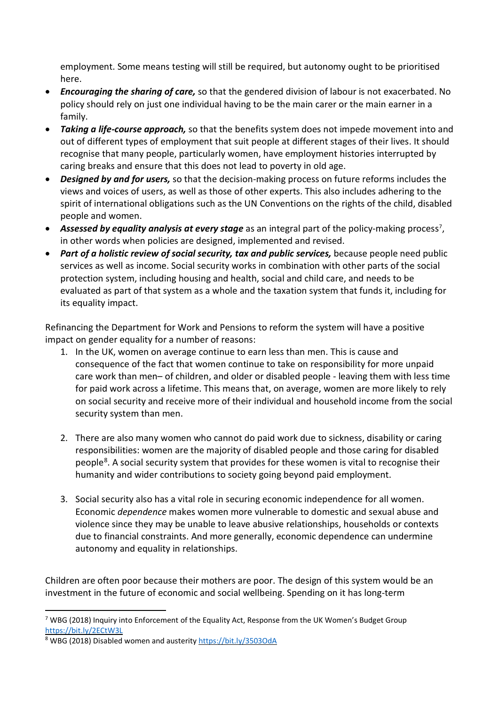employment. Some means testing will still be required, but autonomy ought to be prioritised here.

- *Encouraging the sharing of care,* so that the gendered division of labour is not exacerbated. No policy should rely on just one individual having to be the main carer or the main earner in a family.
- *Taking a life-course approach,* so that the benefits system does not impede movement into and out of different types of employment that suit people at different stages of their lives. It should recognise that many people, particularly women, have employment histories interrupted by caring breaks and ensure that this does not lead to poverty in old age.
- *Designed by and for users,* so that the decision-making process on future reforms includes the views and voices of users, as well as those of other experts. This also includes adhering to the spirit of international obligations such as the UN Conventions on the rights of the child, disabled people and women.
- Assessed by equality analysis at every stage as an integral part of the policy-making process<sup>[7](#page-4-0)</sup>, in other words when policies are designed, implemented and revised.
- *Part of a holistic review of social security, tax and public services, because people need public* services as well as income. Social security works in combination with other parts of the social protection system, including housing and health, social and child care, and needs to be evaluated as part of that system as a whole and the taxation system that funds it, including for its equality impact.

Refinancing the Department for Work and Pensions to reform the system will have a positive impact on gender equality for a number of reasons:

- 1. In the UK, women on average continue to earn less than men. This is cause and consequence of the fact that women continue to take on responsibility for more unpaid care work than men– of children, and older or disabled people - leaving them with less time for paid work across a lifetime. This means that, on average, women are more likely to rely on social security and receive more of their individual and household income from the social security system than men.
- 2. There are also many women who cannot do paid work due to sickness, disability or caring responsibilities: women are the majority of disabled people and those caring for disabled people<sup>[8](#page-4-1)</sup>. A social security system that provides for these women is vital to recognise their humanity and wider contributions to society going beyond paid employment.
- 3. Social security also has a vital role in securing economic independence for all women. Economic *dependence* makes women more vulnerable to domestic and sexual abuse and violence since they may be unable to leave abusive relationships, households or contexts due to financial constraints. And more generally, economic dependence can undermine autonomy and equality in relationships.

Children are often poor because their mothers are poor. The design of this system would be an investment in the future of economic and social wellbeing. Spending on it has long-term

<span id="page-4-0"></span> $7$  WBG (2018) Inquiry into Enforcement of the Equality Act, Response from the UK Women's Budget Group <https://bit.ly/2ECtW3L>

<span id="page-4-1"></span><sup>8</sup> WBG (2018) Disabled women and austerity<https://bit.ly/3503OdA>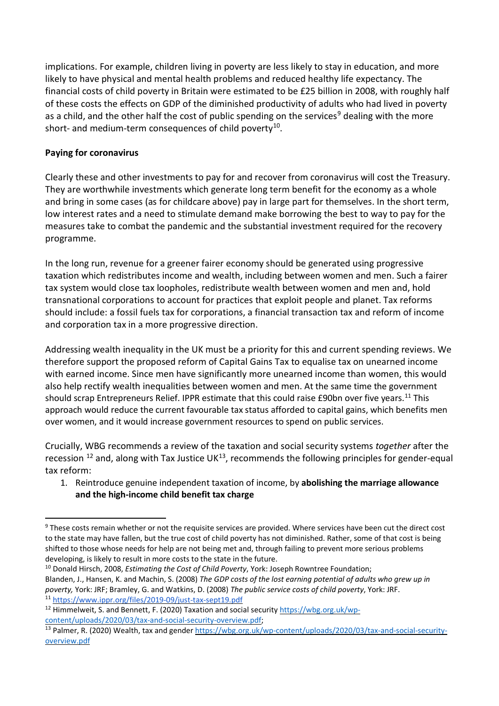implications. For example, children living in poverty are less likely to stay in education, and more likely to have physical and mental health problems and reduced healthy life expectancy. The financial costs of child poverty in Britain were estimated to be £25 billion in 2008, with roughly half of these costs the effects on GDP of the diminished productivity of adults who had lived in poverty as a child, and the other half the cost of public spending on the services<sup>[9](#page-5-0)</sup> dealing with the more short- and medium-term consequences of child poverty<sup>[10](#page-5-1)</sup>.

### **Paying for coronavirus**

Clearly these and other investments to pay for and recover from coronavirus will cost the Treasury. They are worthwhile investments which generate long term benefit for the economy as a whole and bring in some cases (as for childcare above) pay in large part for themselves. In the short term, low interest rates and a need to stimulate demand make borrowing the best to way to pay for the measures take to combat the pandemic and the substantial investment required for the recovery programme.

In the long run, revenue for a greener fairer economy should be generated using progressive taxation which redistributes income and wealth, including between women and men. Such a fairer tax system would close tax loopholes, redistribute wealth between women and men and, hold transnational corporations to account for practices that exploit people and planet. Tax reforms should include: a fossil fuels tax for corporations, a financial transaction tax and reform of income and corporation tax in a more progressive direction.

Addressing wealth inequality in the UK must be a priority for this and current spending reviews. We therefore support the proposed reform of Capital Gains Tax to equalise tax on unearned income with earned income. Since men have significantly more unearned income than women, this would also help rectify wealth inequalities between women and men. At the same time the government should scrap Entrepreneurs Relief. IPPR estimate that this could raise £90bn over five years.[11](#page-5-2) This approach would reduce the current favourable tax status afforded to capital gains, which benefits men over women, and it would increase government resources to spend on public services.

Crucially, WBG recommends a review of the taxation and social security systems *together* after the recession  $^{12}$  $^{12}$  $^{12}$  and, along with Tax Justice UK $^{13}$  $^{13}$  $^{13}$ , recommends the following principles for gender-equal tax reform:

1. Reintroduce genuine independent taxation of income, by **abolishing the marriage allowance and the high-income child benefit tax charge**

<span id="page-5-0"></span><sup>&</sup>lt;sup>9</sup> These costs remain whether or not the requisite services are provided. Where services have been cut the direct cost to the state may have fallen, but the true cost of child poverty has not diminished. Rather, some of that cost is being shifted to those whose needs for help are not being met and, through failing to prevent more serious problems developing, is likely to result in more costs to the state in the future.

<span id="page-5-1"></span><sup>10</sup> Donald Hirsch, 2008, *Estimating the Cost of Child Poverty*, York: Joseph Rowntree Foundation; Blanden, J., Hansen, K. and Machin, S. (2008) *The GDP costs of the lost earning potential of adults who grew up in poverty,* York: JRF; Bramley, G. and Watkins, D. (2008) *The public service costs of child poverty*, York: JRF. 11 <https://www.ippr.org/files/2019-09/just-tax-sept19.pdf>

<span id="page-5-3"></span><span id="page-5-2"></span><sup>&</sup>lt;sup>12</sup> Himmelweit, S. and Bennett, F. (2020) Taxation and social securit[y https://wbg.org.uk/wp-](https://wbg.org.uk/wp-content/uploads/2020/03/tax-and-social-security-overview.pdf)

<span id="page-5-4"></span>[content/uploads/2020/03/tax-and-social-security-overview.pdf;](https://wbg.org.uk/wp-content/uploads/2020/03/tax-and-social-security-overview.pdf)<br><sup>13</sup> Palmer, R. (2020) Wealth, tax and gende[r https://wbg.org.uk/wp-content/uploads/2020/03/tax-and-social-security](https://wbg.org.uk/wp-content/uploads/2020/03/tax-and-social-security-overview.pdf)[overview.pdf](https://wbg.org.uk/wp-content/uploads/2020/03/tax-and-social-security-overview.pdf)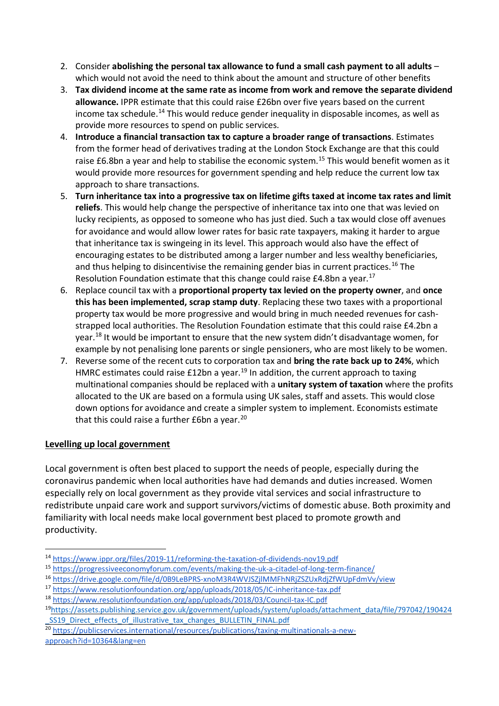- 2. Consider **abolishing the personal tax allowance to fund a small cash payment to all adults** which would not avoid the need to think about the amount and structure of other benefits
- 3. **Tax dividend income at the same rate as income from work and remove the separate dividend allowance.** IPPR estimate that this could raise £26bn over five years based on the current income tax schedule.<sup>[14](#page-6-0)</sup> This would reduce gender inequality in disposable incomes, as well as provide more resources to spend on public services.
- 4. **Introduce a financial transaction tax to capture a broader range of transactions**. Estimates from the former head of derivatives trading at the London Stock Exchange are that this could raise £6.8bn a year and help to stabilise the economic system.<sup>[15](#page-6-1)</sup> This would benefit women as it would provide more resources for government spending and help reduce the current low tax approach to share transactions.
- 5. **Turn inheritance tax into a progressive tax on lifetime gifts taxed at income tax rates and limit reliefs**. This would help change the perspective of inheritance tax into one that was levied on lucky recipients, as opposed to someone who has just died. Such a tax would close off avenues for avoidance and would allow lower rates for basic rate taxpayers, making it harder to argue that inheritance tax is swingeing in its level. This approach would also have the effect of encouraging estates to be distributed among a larger number and less wealthy beneficiaries, and thus helping to disincentivise the remaining gender bias in current practices.<sup>[16](#page-6-2)</sup> The Resolution Foundation estimate that this change could raise  $£4.8$ bn a year.<sup>[17](#page-6-3)</sup>
- 6. Replace council tax with a **proportional property tax levied on the property owner**, and **once this has been implemented, scrap stamp duty**. Replacing these two taxes with a proportional property tax would be more progressive and would bring in much needed revenues for cashstrapped local authorities. The Resolution Foundation estimate that this could raise £4.2bn a year.[18](#page-6-4) It would be important to ensure that the new system didn't disadvantage women, for example by not penalising lone parents or single pensioners, who are most likely to be women.
- 7. Reverse some of the recent cuts to corporation tax and **bring the rate back up to 24%**, which HMRC estimates could raise  $£12$ bn a year.<sup>19</sup> In addition, the current approach to taxing multinational companies should be replaced with a **unitary system of taxation** where the profits allocated to the UK are based on a formula using UK sales, staff and assets. This would close down options for avoidance and create a simpler system to implement. Economists estimate that this could raise a further  $£6$ bn a year.<sup>[20](#page-6-6)</sup>

### **Levelling up local government**

Local government is often best placed to support the needs of people, especially during the coronavirus pandemic when local authorities have had demands and duties increased. Women especially rely on local government as they provide vital services and social infrastructure to redistribute unpaid care work and support survivors/victims of domestic abuse. Both proximity and familiarity with local needs make local government best placed to promote growth and productivity.

<span id="page-6-0"></span><sup>14</sup> <https://www.ippr.org/files/2019-11/reforming-the-taxation-of-dividends-nov19.pdf>

<span id="page-6-1"></span><sup>15</sup> <https://progressiveeconomyforum.com/events/making-the-uk-a-citadel-of-long-term-finance/>

<span id="page-6-2"></span><sup>16</sup> <https://drive.google.com/file/d/0B9LeBPRS-xnoM3R4WVJSZjlMMFhNRjZSZUxRdjZfWUpFdmVv/view>

<span id="page-6-3"></span><sup>17</sup> <https://www.resolutionfoundation.org/app/uploads/2018/05/IC-inheritance-tax.pdf>

<span id="page-6-4"></span><sup>18</sup> <https://www.resolutionfoundation.org/app/uploads/2018/03/Council-tax-IC.pdf>

<span id="page-6-5"></span><sup>1</sup>[9https://assets.publishing.service.gov.uk/government/uploads/system/uploads/attachment\\_data/file/797042/190424](https://assets.publishing.service.gov.uk/government/uploads/system/uploads/attachment_data/file/797042/190424_SS19_Direct_effects_of_illustrative_tax_changes_BULLETIN_FINAL.pdf) SS19 Direct effects of illustrative tax changes BULLETIN FINAL.pdf

<span id="page-6-6"></span><sup>20</sup> [https://publicservices.international/resources/publications/taxing-multinationals-a-new](https://publicservices.international/resources/publications/taxing-multinationals-a-new-approach?id=10364&lang=en)[approach?id=10364&lang=en](https://publicservices.international/resources/publications/taxing-multinationals-a-new-approach?id=10364&lang=en)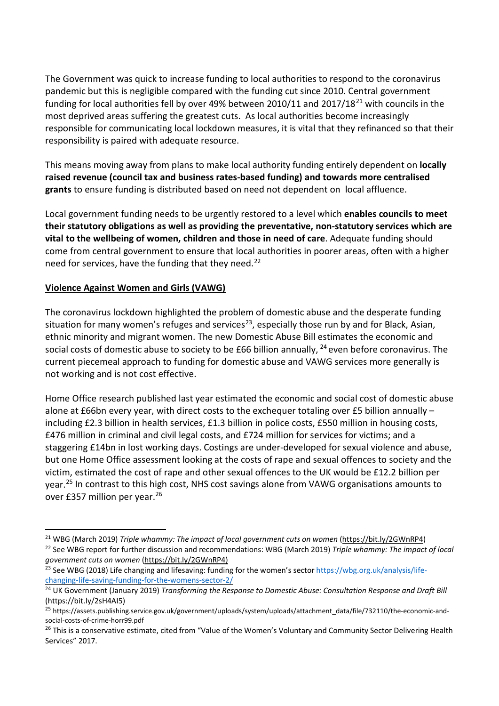The Government was quick to increase funding to local authorities to respond to the coronavirus pandemic but this is negligible compared with the funding cut since 2010. Central government funding for local authorities fell by over 49% between 2010/11 and 2017/18 $^{21}$  $^{21}$  $^{21}$  with councils in the most deprived areas suffering the greatest cuts. As local authorities become increasingly responsible for communicating local lockdown measures, it is vital that they refinanced so that their responsibility is paired with adequate resource.

This means moving away from plans to make local authority funding entirely dependent on **locally raised revenue (council tax and business rates-based funding) and towards more centralised grants** to ensure funding is distributed based on need not dependent on local affluence.

Local government funding needs to be urgently restored to a level which **enables councils to meet their statutory obligations as well as providing the preventative, non-statutory services which are vital to the wellbeing of women, children and those in need of care**. Adequate funding should come from central government to ensure that local authorities in poorer areas, often with a higher need for services, have the funding that they need.<sup>[22](#page-7-1)</sup>

#### **Violence Against Women and Girls (VAWG)**

The coronavirus lockdown highlighted the problem of domestic abuse and the desperate funding situation for many women's refuges and services<sup>[23](#page-7-2)</sup>, especially those run by and for Black, Asian, ethnic minority and migrant women. The new Domestic Abuse Bill estimates the economic and social costs of domestic abuse to society to be £66 billion annually,  $^{24}$  $^{24}$  $^{24}$  even before coronavirus. The current piecemeal approach to funding for domestic abuse and VAWG services more generally is not working and is not cost effective.

Home Office research published last year estimated the economic and social cost of domestic abuse alone at £66bn every year, with direct costs to the exchequer totaling over £5 billion annually – including £2.3 billion in health services, £1.3 billion in police costs, £550 million in housing costs, £476 million in criminal and civil legal costs, and £724 million for services for victims; and a staggering £14bn in lost working days. Costings are under-developed for sexual violence and abuse, but one Home Office assessment looking at the costs of rape and sexual offences to society and the victim, estimated the cost of rape and other sexual offences to the UK would be £12.2 billion per year.[25](#page-7-4) In contrast to this high cost, NHS cost savings alone from VAWG organisations amounts to over £357 million per year.[26](#page-7-5)

<span id="page-7-1"></span><span id="page-7-0"></span><sup>&</sup>lt;sup>21</sup> WBG (March 2019) *Triple whammy: The impact of local government cuts on women* [\(https://bit.ly/2GWnRP4\)](https://bit.ly/2GWnRP4)<br><sup>22</sup> See WBG report for further discussion and recommendations: WBG (March 2019) *Triple whammy: The impact of l* 

<span id="page-7-2"></span><sup>&</sup>lt;sup>23</sup> See WBG (2018) Life changing and lifesaving: funding for the women's secto[r https://wbg.org.uk/analysis/life](https://wbg.org.uk/analysis/life-changing-life-saving-funding-for-the-womens-sector-2/)[changing-life-saving-funding-for-the-womens-sector-2/](https://wbg.org.uk/analysis/life-changing-life-saving-funding-for-the-womens-sector-2/)

<span id="page-7-3"></span><sup>24</sup> UK Government (January 2019) *Transforming the Response to Domestic Abuse: Consultation Response and Draft Bill* [\(https://bit.ly/2sH4AI5\)](https://bit.ly/2sH4AI5)<br><sup>25</sup> https://assets.publishing.service.gov.uk/government/uploads/system/uploads/attachment\_data/file/732110/the-economic-and-

<span id="page-7-4"></span>social-costs-of-crime-horr99.pdf

<span id="page-7-5"></span><sup>&</sup>lt;sup>26</sup> This is a conservative estimate, cited from "Value of the Women's Voluntary and Community Sector Delivering Health Services" 2017.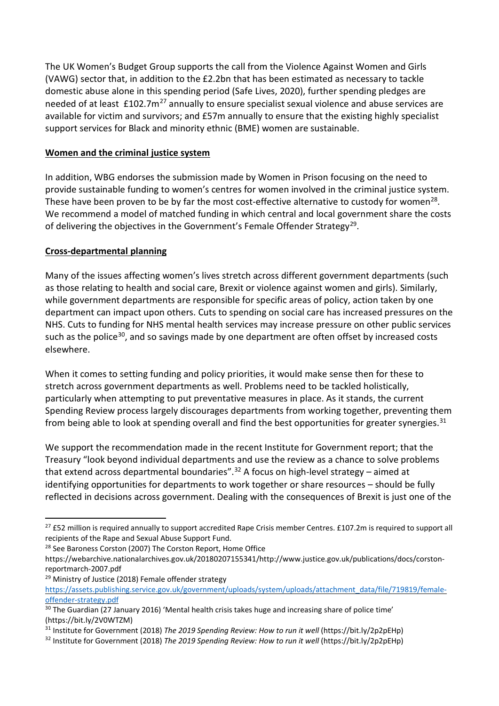The UK Women's Budget Group supports the call from the Violence Against Women and Girls (VAWG) sector that, in addition to the £2.2bn that has been estimated as necessary to tackle domestic abuse alone in this spending period (Safe Lives, 2020), further spending pledges are needed of at least £102.7m<sup>[27](#page-8-0)</sup> annually to ensure specialist sexual violence and abuse services are available for victim and survivors; and £57m annually to ensure that the existing highly specialist support services for Black and minority ethnic (BME) women are sustainable.

### **Women and the criminal justice system**

In addition, WBG endorses the submission made by Women in Prison focusing on the need to provide sustainable funding to women's centres for women involved in the criminal justice system. These have been proven to be by far the most cost-effective alternative to custody for women<sup>[28](#page-8-1)</sup>. We recommend a model of matched funding in which central and local government share the costs of delivering the objectives in the Government's Female Offender Strategy<sup>29</sup>.

#### **Cross-departmental planning**

Many of the issues affecting women's lives stretch across different government departments (such as those relating to health and social care, Brexit or violence against women and girls). Similarly, while government departments are responsible for specific areas of policy, action taken by one department can impact upon others. Cuts to spending on social care has increased pressures on the NHS. Cuts to funding for NHS mental health services may increase pressure on other public services such as the police<sup>[30](#page-8-3)</sup>, and so savings made by one department are often offset by increased costs elsewhere.

When it comes to setting funding and policy priorities, it would make sense then for these to stretch across government departments as well. Problems need to be tackled holistically, particularly when attempting to put preventative measures in place. As it stands, the current Spending Review process largely discourages departments from working together, preventing them from being able to look at spending overall and find the best opportunities for greater synergies. $31$ 

We support the recommendation made in the recent Institute for Government report; that the Treasury "look beyond individual departments and use the review as a chance to solve problems that extend across departmental boundaries".<sup>[32](#page-8-5)</sup> A focus on high-level strategy – aimed at identifying opportunities for departments to work together or share resources – should be fully reflected in decisions across government. Dealing with the consequences of Brexit is just one of the

<span id="page-8-2"></span><sup>29</sup> Ministry of Justice (2018) Female offender strategy

<span id="page-8-0"></span> $27$  £52 million is required annually to support accredited Rape Crisis member Centres. £107.2m is required to support all recipients of the Rape and Sexual Abuse Support Fund.

<span id="page-8-1"></span><sup>&</sup>lt;sup>28</sup> See Baroness Corston (2007) The Corston Report, Home Office

https://webarchive.nationalarchives.gov.uk/20180207155341/http://www.justice.gov.uk/publications/docs/corstonreportmarch-2007.pdf

[https://assets.publishing.service.gov.uk/government/uploads/system/uploads/attachment\\_data/file/719819/female](https://assets.publishing.service.gov.uk/government/uploads/system/uploads/attachment_data/file/719819/female-offender-strategy.pdf)[offender-strategy.pdf](https://assets.publishing.service.gov.uk/government/uploads/system/uploads/attachment_data/file/719819/female-offender-strategy.pdf)

<span id="page-8-3"></span><sup>&</sup>lt;sup>30</sup> The Guardian (27 January 2016) 'Mental health crisis takes huge and increasing share of police time' [\(https://bit.ly/2V0WTZM\)](https://bit.ly/2V0WTZM)

<span id="page-8-4"></span><sup>31</sup> Institute for Government (2018) *The 2019 Spending Review: How to run it well* [\(https://bit.ly/2p2pEHp\)](https://bit.ly/2p2pEHp)

<span id="page-8-5"></span><sup>32</sup> Institute for Government (2018) *The 2019 Spending Review: How to run it well* [\(https://bit.ly/2p2pEHp\)](https://bit.ly/2p2pEHp)